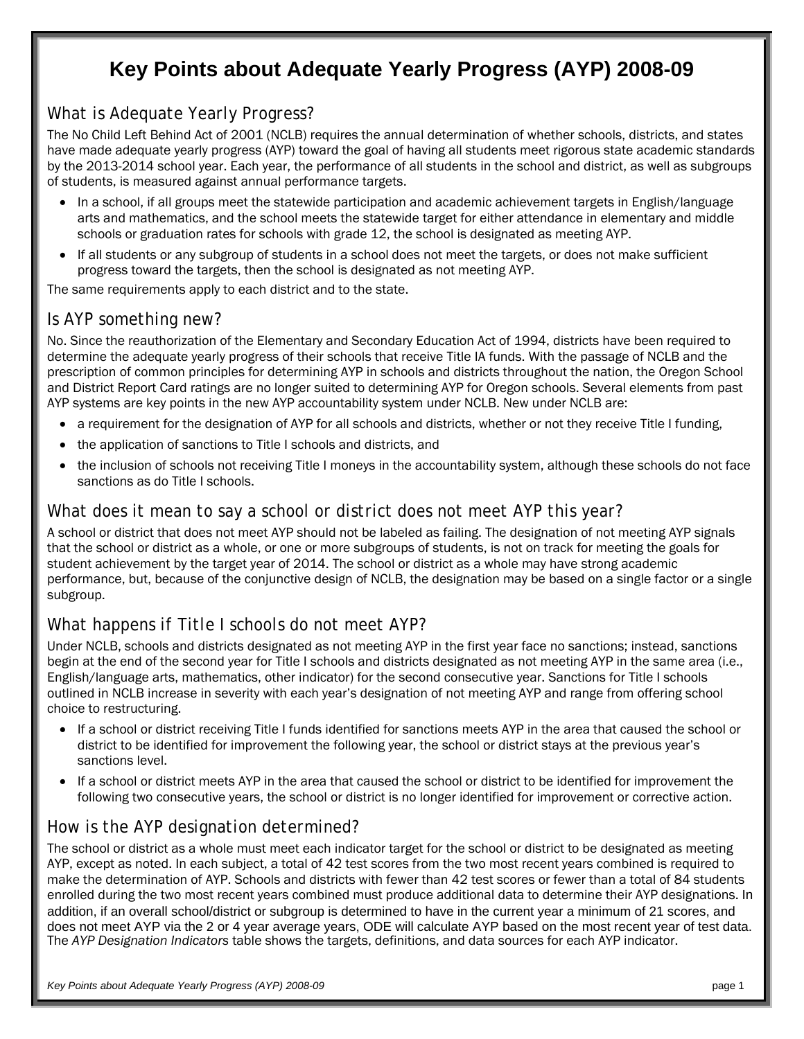# **Key Points about Adequate Yearly Progress (AYP) 2008-09**

#### *What is Adequate Yearly Progress?*

The No Child Left Behind Act of 2001 (NCLB) requires the annual determination of whether schools, districts, and states have made adequate yearly progress (AYP) toward the goal of having all students meet rigorous state academic standards by the 2013-2014 school year. Each year, the performance of all students in the school and district, as well as subgroups of students, is measured against annual performance targets.

- In a school, if all groups meet the statewide participation and academic achievement targets in English/language arts and mathematics, and the school meets the statewide target for either attendance in elementary and middle schools or graduation rates for schools with grade 12, the school is designated as meeting AYP.
- If all students or any subgroup of students in a school does not meet the targets, or does not make sufficient progress toward the targets, then the school is designated as not meeting AYP.

The same requirements apply to each district and to the state.

#### *Is AYP something new?*

No. Since the reauthorization of the Elementary and Secondary Education Act of 1994, districts have been required to determine the adequate yearly progress of their schools that receive Title IA funds. With the passage of NCLB and the prescription of common principles for determining AYP in schools and districts throughout the nation, the Oregon School and District Report Card ratings are no longer suited to determining AYP for Oregon schools. Several elements from past AYP systems are key points in the new AYP accountability system under NCLB. New under NCLB are:

- a requirement for the designation of AYP for all schools and districts, whether or not they receive Title I funding,
- the application of sanctions to Title I schools and districts, and
- the inclusion of schools not receiving Title I moneys in the accountability system, although these schools do not face sanctions as do Title I schools.

#### *What does it mean to say a school or district does not meet AYP this year?*

A school or district that does not meet AYP should not be labeled as failing. The designation of not meeting AYP signals that the school or district as a whole, or one or more subgroups of students, is not on track for meeting the goals for student achievement by the target year of 2014. The school or district as a whole may have strong academic performance, but, because of the conjunctive design of NCLB, the designation may be based on a single factor or a single subgroup.

#### *What happens if Title I schools do not meet AYP?*

Under NCLB, schools and districts designated as not meeting AYP in the first year face no sanctions; instead, sanctions begin at the end of the second year for Title I schools and districts designated as not meeting AYP in the same area (i.e., English/language arts, mathematics, other indicator) for the second consecutive year. Sanctions for Title I schools outlined in NCLB increase in severity with each year's designation of not meeting AYP and range from offering school choice to restructuring.

- If a school or district receiving Title I funds identified for sanctions meets AYP in the area that caused the school or district to be identified for improvement the following year, the school or district stays at the previous year's sanctions level.
- If a school or district meets AYP in the area that caused the school or district to be identified for improvement the following two consecutive years, the school or district is no longer identified for improvement or corrective action.

#### *How is the AYP designation determined?*

The school or district as a whole must meet each indicator target for the school or district to be designated as meeting AYP, except as noted. In each subject, a total of 42 test scores from the two most recent years combined is required to make the determination of AYP. Schools and districts with fewer than 42 test scores or fewer than a total of 84 students enrolled during the two most recent years combined must produce additional data to determine their AYP designations. In addition, if an overall school/district or subgroup is determined to have in the current year a minimum of 21 scores, and does not meet AYP via the 2 or 4 year average years, ODE will calculate AYP based on the most recent year of test data. The *AYP Designation Indicators* table shows the targets, definitions, and data sources for each AYP indicator.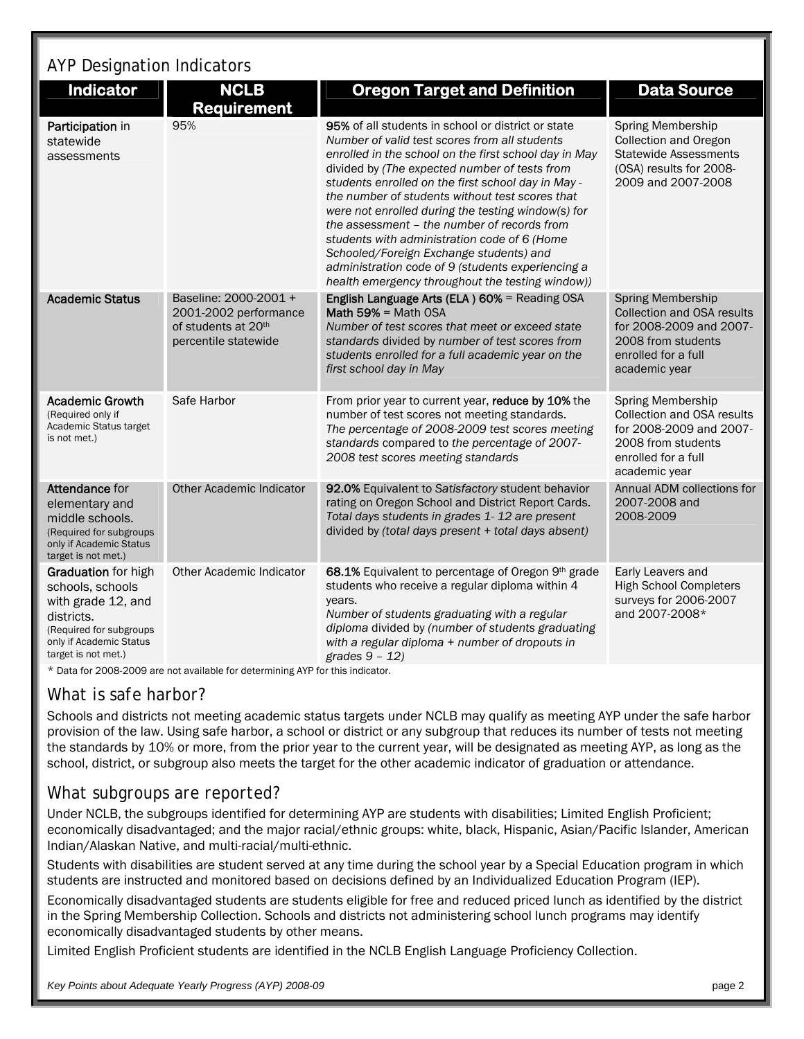# AYP Designation Indicators

| <b>Indicator</b>                                                                                                                                                 | <b>NCLB</b><br><b>Requirement</b>                                                             | <b>Oregon Target and Definition</b>                                                                                                                                                                                                                                                                                                                                                                                                                                                                                                                                                                                             | <b>Data Source</b>                                                                                                                              |
|------------------------------------------------------------------------------------------------------------------------------------------------------------------|-----------------------------------------------------------------------------------------------|---------------------------------------------------------------------------------------------------------------------------------------------------------------------------------------------------------------------------------------------------------------------------------------------------------------------------------------------------------------------------------------------------------------------------------------------------------------------------------------------------------------------------------------------------------------------------------------------------------------------------------|-------------------------------------------------------------------------------------------------------------------------------------------------|
| Participation in<br>statewide<br>assessments                                                                                                                     | 95%                                                                                           | 95% of all students in school or district or state<br>Number of valid test scores from all students<br>enrolled in the school on the first school day in May<br>divided by (The expected number of tests from<br>students enrolled on the first school day in May -<br>the number of students without test scores that<br>were not enrolled during the testing window(s) for<br>the assessment - the number of records from<br>students with administration code of 6 (Home<br>Schooled/Foreign Exchange students) and<br>administration code of 9 (students experiencing a<br>health emergency throughout the testing window)) | Spring Membership<br><b>Collection and Oregon</b><br><b>Statewide Assessments</b><br>(OSA) results for 2008-<br>2009 and 2007-2008              |
| <b>Academic Status</b>                                                                                                                                           | Baseline: 2000-2001 +<br>2001-2002 performance<br>of students at 20th<br>percentile statewide | English Language Arts (ELA) 60% = Reading OSA<br>Math 59% = Math OSA<br>Number of test scores that meet or exceed state<br>standards divided by number of test scores from<br>students enrolled for a full academic year on the<br>first school day in May                                                                                                                                                                                                                                                                                                                                                                      | <b>Spring Membership</b><br>Collection and OSA results<br>for 2008-2009 and 2007-<br>2008 from students<br>enrolled for a full<br>academic year |
| <b>Academic Growth</b><br>(Required only if<br>Academic Status target<br>is not met.)                                                                            | Safe Harbor                                                                                   | From prior year to current year, reduce by 10% the<br>number of test scores not meeting standards.<br>The percentage of 2008-2009 test scores meeting<br>standards compared to the percentage of 2007-<br>2008 test scores meeting standards                                                                                                                                                                                                                                                                                                                                                                                    | Spring Membership<br>Collection and OSA results<br>for 2008-2009 and 2007-<br>2008 from students<br>enrolled for a full<br>academic year        |
| Attendance for<br>elementary and<br>middle schools.<br>(Required for subgroups)<br>only if Academic Status<br>target is not met.)                                | <b>Other Academic Indicator</b>                                                               | 92.0% Equivalent to Satisfactory student behavior<br>rating on Oregon School and District Report Cards.<br>Total days students in grades 1-12 are present<br>divided by (total days present + total days absent)                                                                                                                                                                                                                                                                                                                                                                                                                | Annual ADM collections for<br>2007-2008 and<br>2008-2009                                                                                        |
| <b>Graduation</b> for high<br>schools, schools<br>with grade 12, and<br>districts.<br>(Required for subgroups)<br>only if Academic Status<br>target is not met.) | Other Academic Indicator                                                                      | 68.1% Equivalent to percentage of Oregon 9th grade<br>students who receive a regular diploma within 4<br>vears.<br>Number of students graduating with a regular<br>diploma divided by (number of students graduating<br>with a regular diploma + number of dropouts in<br>grades $9 - 12$ )                                                                                                                                                                                                                                                                                                                                     | Early Leavers and<br><b>High School Completers</b><br>surveys for 2006-2007<br>and 2007-2008*                                                   |

\* Data for 2008-2009 are not available for determining AYP for this indicator.

#### *What is safe harbor?*

Schools and districts not meeting academic status targets under NCLB may qualify as meeting AYP under the safe harbor provision of the law. Using safe harbor, a school or district or any subgroup that reduces its number of tests not meeting the standards by 10% or more, from the prior year to the current year, will be designated as meeting AYP, as long as the school, district, or subgroup also meets the target for the other academic indicator of graduation or attendance.

#### *What subgroups are reported?*

Under NCLB, the subgroups identified for determining AYP are students with disabilities; Limited English Proficient; economically disadvantaged; and the major racial/ethnic groups: white, black, Hispanic, Asian/Pacific Islander, American Indian/Alaskan Native, and multi-racial/multi-ethnic.

Students with disabilities are student served at any time during the school year by a Special Education program in which students are instructed and monitored based on decisions defined by an Individualized Education Program (IEP).

Economically disadvantaged students are students eligible for free and reduced priced lunch as identified by the district in the Spring Membership Collection. Schools and districts not administering school lunch programs may identify economically disadvantaged students by other means.

Limited English Proficient students are identified in the NCLB English Language Proficiency Collection.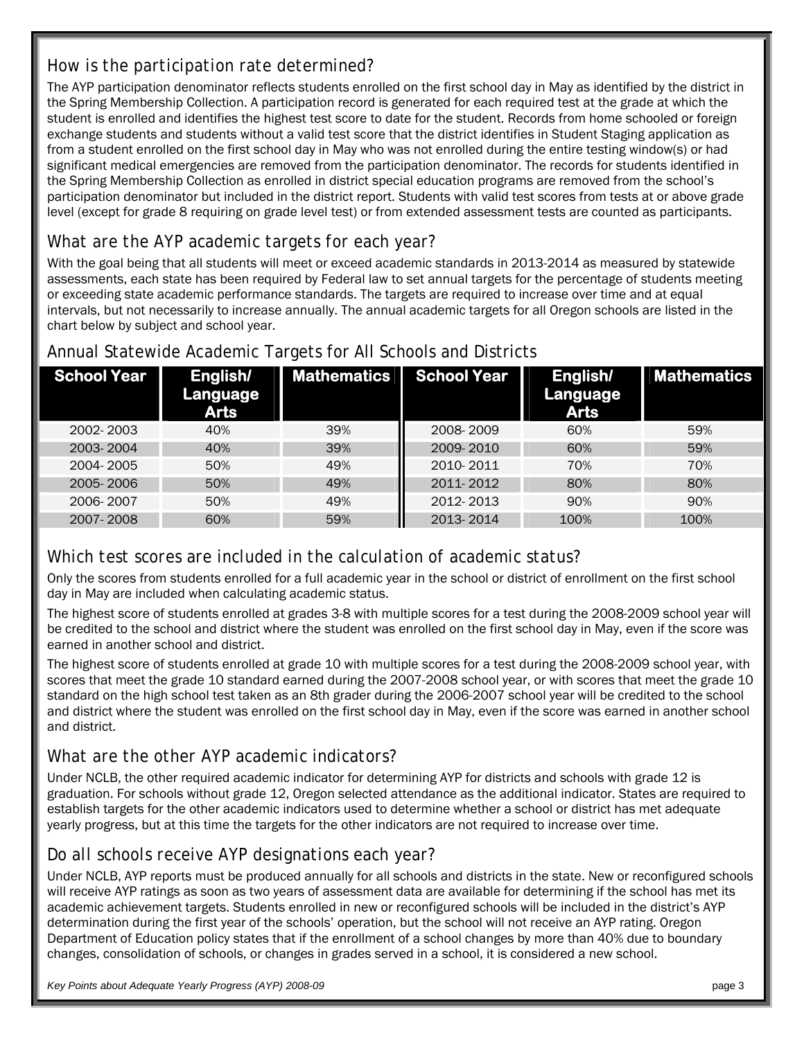# *How is the participation rate determined?*

The AYP participation denominator reflects students enrolled on the first school day in May as identified by the district in the Spring Membership Collection. A participation record is generated for each required test at the grade at which the student is enrolled and identifies the highest test score to date for the student. Records from home schooled or foreign exchange students and students without a valid test score that the district identifies in Student Staging application as from a student enrolled on the first school day in May who was not enrolled during the entire testing window(s) or had significant medical emergencies are removed from the participation denominator. The records for students identified in the Spring Membership Collection as enrolled in district special education programs are removed from the school's participation denominator but included in the district report. Students with valid test scores from tests at or above grade level (except for grade 8 requiring on grade level test) or from extended assessment tests are counted as participants.

# *What are the AYP academic targets for each year?*

With the goal being that all students will meet or exceed academic standards in 2013-2014 as measured by statewide assessments, each state has been required by Federal law to set annual targets for the percentage of students meeting or exceeding state academic performance standards. The targets are required to increase over time and at equal intervals, but not necessarily to increase annually. The annual academic targets for all Oregon schools are listed in the chart below by subject and school year.

| School Year | English/<br>Language<br><b>Arts</b> | <b>Mathematics</b> | School Year | English/<br>Language<br><b>Arts</b> | <b>Mathematics</b> |
|-------------|-------------------------------------|--------------------|-------------|-------------------------------------|--------------------|
| 2002-2003   | 40%                                 | 39%                | 2008-2009   | 60%                                 | 59%                |
| 2003-2004   | 40%                                 | 39%                | 2009-2010   | 60%                                 | 59%                |
| 2004-2005   | 50%                                 | 49%                | 2010-2011   | 70%                                 | 70%                |
| 2005-2006   | 50%                                 | 49%                | 2011-2012   | 80%                                 | 80%                |
| 2006-2007   | 50%                                 | 49%                | 2012-2013   | 90%                                 | 90%                |
| 2007-2008   | 60%                                 | 59%                | 2013-2014   | 100%                                | 100%               |

## Annual Statewide Academic Targets for All Schools and Districts

## *Which test scores are included in the calculation of academic status?*

Only the scores from students enrolled for a full academic year in the school or district of enrollment on the first school day in May are included when calculating academic status.

The highest score of students enrolled at grades 3-8 with multiple scores for a test during the 2008-2009 school year will be credited to the school and district where the student was enrolled on the first school day in May, even if the score was earned in another school and district.

The highest score of students enrolled at grade 10 with multiple scores for a test during the 2008-2009 school year, with scores that meet the grade 10 standard earned during the 2007-2008 school year, or with scores that meet the grade 10 standard on the high school test taken as an 8th grader during the 2006-2007 school year will be credited to the school and district where the student was enrolled on the first school day in May, even if the score was earned in another school and district.

## *What are the other AYP academic indicators?*

Under NCLB, the other required academic indicator for determining AYP for districts and schools with grade 12 is graduation. For schools without grade 12, Oregon selected attendance as the additional indicator. States are required to establish targets for the other academic indicators used to determine whether a school or district has met adequate yearly progress, but at this time the targets for the other indicators are not required to increase over time.

## *Do all schools receive AYP designations each year?*

Under NCLB, AYP reports must be produced annually for all schools and districts in the state. New or reconfigured schools will receive AYP ratings as soon as two years of assessment data are available for determining if the school has met its academic achievement targets. Students enrolled in new or reconfigured schools will be included in the district's AYP determination during the first year of the schools' operation, but the school will not receive an AYP rating. Oregon Department of Education policy states that if the enrollment of a school changes by more than 40% due to boundary changes, consolidation of schools, or changes in grades served in a school, it is considered a new school.